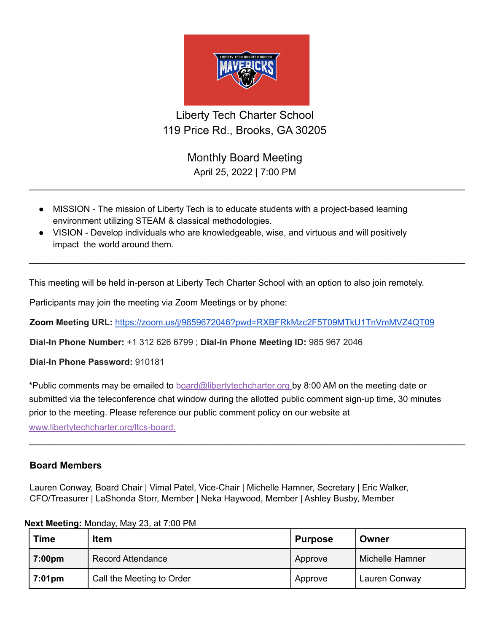

Liberty Tech Charter School 119 Price Rd., Brooks, GA 30205

> Monthly Board Meeting April 25, 2022 | 7:00 PM

 $\_$ 

 $\_$ 

- MISSION The mission of Liberty Tech is to educate students with a project-based learning environment utilizing STEAM & classical methodologies.
- VISION Develop individuals who are knowledgeable, wise, and virtuous and will positively impact the world around them.

This meeting will be held in-person at Liberty Tech Charter School with an option to also join remotely.

Participants may join the meeting via Zoom Meetings or by phone:

**Zoom Meeting URL:** <https://zoom.us/j/9859672046?pwd=RXBFRkMzc2F5T09MTkU1TnVmMVZ4QT09>

**Dial-In Phone Number:** +1 312 626 6799 ; **Dial-In Phone Meeting ID:** 985 967 2046

**Dial-In Phone Password:** 910181

\*Public comments may be emailed to board@libertytechcharter.org by 8:00 AM on the meeting date or submitted via the teleconference chat window during the allotted public comment sign-up time, 30 minutes prior to the meeting. Please reference our public comment policy on our website at www.libertytechcharter.org/ltcs-board.

 $\_$ 

## **Board Members**

Lauren Conway, Board Chair | Vimal Patel, Vice-Chair | Michelle Hamner, Secretary | Eric Walker, CFO/Treasurer | LaShonda Storr, Member | Neka Haywood, Member | Ashley Busby, Member

| <b>Time</b>        | <b>Item</b>               | <b>Purpose</b> | Owner           |
|--------------------|---------------------------|----------------|-----------------|
| 7:00 <sub>pm</sub> | <b>Record Attendance</b>  | Approve        | Michelle Hamner |
| $7:01 \text{pm}$   | Call the Meeting to Order | Approve        | Lauren Conway   |

## **Next Meeting:** Monday, May 23, at 7:00 PM